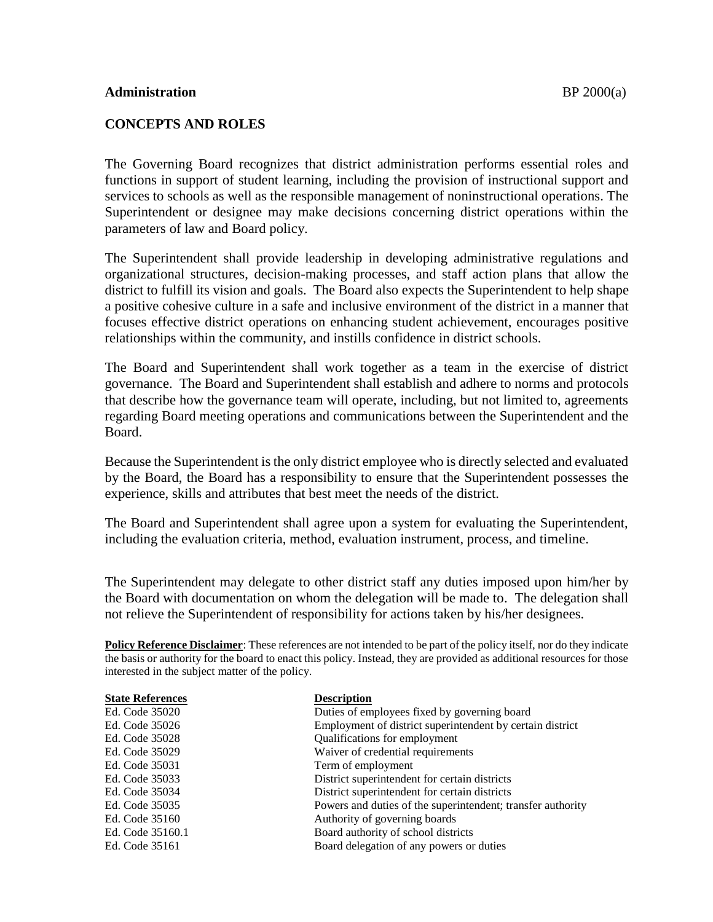## **CONCEPTS AND ROLES**

The Governing Board recognizes that district administration performs essential roles and functions in support of student learning, including the provision of instructional support and services to schools as well as the responsible management of noninstructional operations. The Superintendent or designee may make decisions concerning district operations within the parameters of law and Board policy.

The Superintendent shall provide leadership in developing administrative regulations and organizational structures, decision-making processes, and staff action plans that allow the district to fulfill its vision and goals. The Board also expects the Superintendent to help shape a positive cohesive culture in a safe and inclusive environment of the district in a manner that focuses effective district operations on enhancing student achievement, encourages positive relationships within the community, and instills confidence in district schools.

The Board and Superintendent shall work together as a team in the exercise of district governance. The Board and Superintendent shall establish and adhere to norms and protocols that describe how the governance team will operate, including, but not limited to, agreements regarding Board meeting operations and communications between the Superintendent and the Board.

Because the Superintendent is the only district employee who is directly selected and evaluated by the Board, the Board has a responsibility to ensure that the Superintendent possesses the experience, skills and attributes that best meet the needs of the district.

The Board and Superintendent shall agree upon a system for evaluating the Superintendent, including the evaluation criteria, method, evaluation instrument, process, and timeline.

The Superintendent may delegate to other district staff any duties imposed upon him/her by the Board with documentation on whom the delegation will be made to. The delegation shall not relieve the Superintendent of responsibility for actions taken by his/her designees.

**Policy Reference Disclaimer**: These references are not intended to be part of the policy itself, nor do they indicate the basis or authority for the board to enact this policy. Instead, they are provided as additional resources for those interested in the subject matter of the policy.

| <b>State References</b> | <b>Description</b>                                          |
|-------------------------|-------------------------------------------------------------|
| Ed. Code 35020          | Duties of employees fixed by governing board                |
| Ed. Code 35026          | Employment of district superintendent by certain district   |
| Ed. Code 35028          | Qualifications for employment                               |
| Ed. Code 35029          | Waiver of credential requirements                           |
| Ed. Code 35031          | Term of employment                                          |
| Ed. Code 35033          | District superintendent for certain districts               |
| Ed. Code 35034          | District superintendent for certain districts               |
| Ed. Code 35035          | Powers and duties of the superintendent; transfer authority |
| Ed. Code 35160          | Authority of governing boards                               |
| Ed. Code 35160.1        | Board authority of school districts                         |
| Ed. Code 35161          | Board delegation of any powers or duties                    |